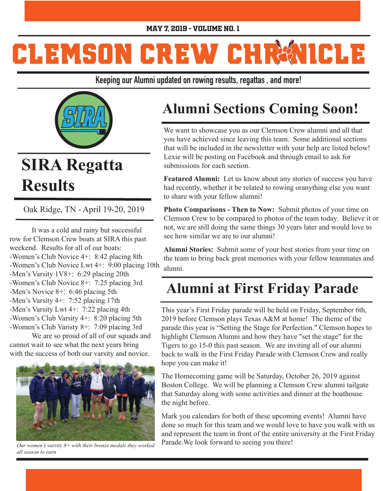#### May 7, 2019 - Volume No. 1

# **CLEMSON CREW CHRMICLE**

**Keeping our Alumni updated on rowing results, regattas , and more!**



## **SIRA Regatta Results**

Oak Ridge, TN - April 19-20, 2019

 It was a cold and rainy but successful row for Clemson Crew boats at SIRA this past weekend. Results for all of our boats: -Women's Club Novice 4+: 8:42 placing 8th -Women's Club Novice Lwt 4+: 9:00 placing 10th -Men's Varsity 1V8+: 6:29 placing 20th -Women's Club Novice 8+: 7:25 placing 3rd -Men's Novice 8+: 6:46 placing 5th -Men's Varsity 4+: 7:52 placing 17th -Men's Varsity Lwt 4+: 7:22 placing 4th -Women's Club Varsity 4+: 8:20 placing 5th -Women's Club Varisty 8+: 7:09 placing 3rd

 We are so proud of all of our squads and cannot wait to see what the next years bring with the success of both our varsity and novice.



*Our women's varsity 8+ with their bronze medals they worked all season to earn* 

### **Alumni Sections Coming Soon!**

We want to showcase you as our Clemson Crew alumni and all that you have achieved since leaving this team. Some additional sections that will be included in the newsletter with your help are listed below! Lexie will be posting on Facebook and through email to ask for submissions for each section.

**Featured Alumni:** Let us know about any stories of success you have had recently, whether it be related to rowing oranything else you want to share with your fellow alumni!

**Photo Comparisons - Then to Now:** Submit photos of your time on Clemson Crew to be compared to photos of the team today. Believe it or not, we are still doing the same things 30 years later and would love to see how similar we are to our alumni!

**Alumni Stories:** Submit some of your best stories from your time on the team to bring back great memories with your fellow teammates and alunni.

#### **Alumni at First Friday Parade**

This year's First Friday parade will be held on Friday, September 6th, 2019 before Clemson plays Texas A&M at home! The theme of the parade this year is "Setting the Stage for Perfection." Clemson hopes to highlight Clemson Alumni and how they have "set the stage" for the Tigers to go 15-0 this past season. We are inviting all of our alumni back to walk in the First Friday Parade with Clemson Crew and really hope you can make it!

The Homecoming game will be Saturday, October 26, 2019 against Boston College. We will be planning a Clemson Crew alumni tailgate that Saturday along with some activities and dinner at the boathouse the night before.

Mark you calendars for both of these upcoming events! Alumni have done so much for this team and we would love to have you walk with us and represent the team in front of the entire university at the First Friday Parade.We look forward to seeing you there!